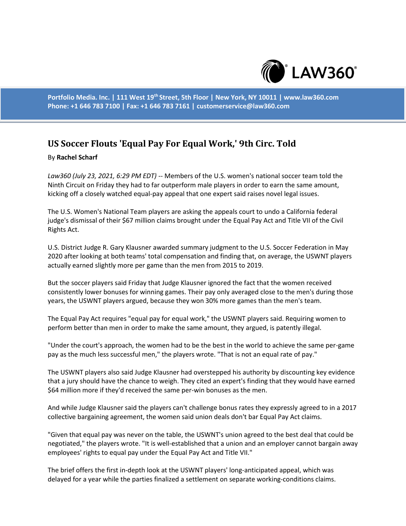

**Portfolio Media. Inc. | 111 West 19th Street, 5th Floor | New York, NY 10011 | www.law360.com Phone: +1 646 783 7100 | Fax: +1 646 783 7161 | customerservice@law360.com**

## **US Soccer Flouts 'Equal Pay For Equal Work,' 9th Circ. Told**

## By **Rachel Scharf**

*Law360 (July 23, 2021, 6:29 PM EDT)* -- Members of the U.S. women's national soccer team told the Ninth Circuit on Friday they had to far outperform male players in order to earn the same amount, kicking off a closely watched equal-pay appeal that one expert said raises novel legal issues.

The U.S. Women's National Team players are asking the appeals court to undo a California federal judge's dismissal of their \$67 million claims brought under the Equal Pay Act and Title VII of the Civil Rights Act.

U.S. District Judge R. Gary Klausner awarded summary judgment to the U.S. Soccer Federation in May 2020 after looking at both teams' total compensation and finding that, on average, the USWNT players actually earned slightly more per game than the men from 2015 to 2019.

But the soccer players said Friday that Judge Klausner ignored the fact that the women received consistently lower bonuses for winning games. Their pay only averaged close to the men's during those years, the USWNT players argued, because they won 30% more games than the men's team.

The Equal Pay Act requires "equal pay for equal work," the USWNT players said. Requiring women to perform better than men in order to make the same amount, they argued, is patently illegal.

"Under the court's approach, the women had to be the best in the world to achieve the same per-game pay as the much less successful men," the players wrote. "That is not an equal rate of pay."

The USWNT players also said Judge Klausner had overstepped his authority by discounting key evidence that a jury should have the chance to weigh. They cited an expert's finding that they would have earned \$64 million more if they'd received the same per-win bonuses as the men.

And while Judge Klausner said the players can't challenge bonus rates they expressly agreed to in a 2017 collective bargaining agreement, the women said union deals don't bar Equal Pay Act claims.

"Given that equal pay was never on the table, the USWNT's union agreed to the best deal that could be negotiated," the players wrote. "It is well-established that a union and an employer cannot bargain away employees' rights to equal pay under the Equal Pay Act and Title VII."

The brief offers the first in-depth look at the USWNT players' long-anticipated appeal, which was delayed for a year while the parties finalized a settlement on separate working-conditions claims.